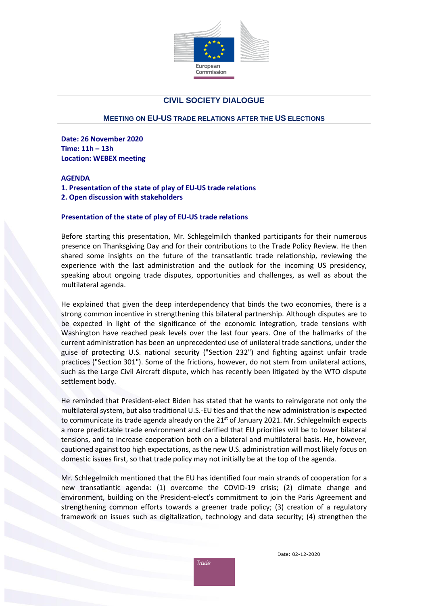

# **CIVIL SOCIETY DIALOGUE**

### **MEETING ON EU-US TRADE RELATIONS AFTER THE US ELECTIONS**

**Date: 26 November 2020 Time: 11h – 13h Location: WEBEX meeting**

#### **AGENDA**

**1. Presentation of the state of play of EU-US trade relations**

**2. Open discussion with stakeholders**

#### **Presentation of the state of play of EU-US trade relations**

Before starting this presentation, Mr. Schlegelmilch thanked participants for their numerous presence on Thanksgiving Day and for their contributions to the Trade Policy Review. He then shared some insights on the future of the transatlantic trade relationship, reviewing the experience with the last administration and the outlook for the incoming US presidency, speaking about ongoing trade disputes, opportunities and challenges, as well as about the multilateral agenda.

He explained that given the deep interdependency that binds the two economies, there is a strong common incentive in strengthening this bilateral partnership. Although disputes are to be expected in light of the significance of the economic integration, trade tensions with Washington have reached peak levels over the last four years. One of the hallmarks of the current administration has been an unprecedented use of unilateral trade sanctions, under the guise of protecting U.S. national security ("Section 232") and fighting against unfair trade practices ("Section 301"). Some of the frictions, however, do not stem from unilateral actions, such as the Large Civil Aircraft dispute, which has recently been litigated by the WTO dispute settlement body.

He reminded that President-elect Biden has stated that he wants to reinvigorate not only the multilateral system, but also traditional U.S.-EU ties and that the new administration is expected to communicate its trade agenda already on the  $21^{st}$  of January 2021. Mr. Schlegelmilch expects a more predictable trade environment and clarified that EU priorities will be to lower bilateral tensions, and to increase cooperation both on a bilateral and multilateral basis. He, however, cautioned against too high expectations, as the new U.S. administration will most likely focus on domestic issues first, so that trade policy may not initially be at the top of the agenda.

Mr. Schlegelmilch mentioned that the EU has identified four main strands of cooperation for a new transatlantic agenda: (1) overcome the COVID-19 crisis; (2) climate change and environment, building on the President-elect's commitment to join the Paris Agreement and strengthening common efforts towards a greener trade policy; (3) creation of a regulatory framework on issues such as digitalization, technology and data security; (4) strengthen the

Trade

Date: 02-12-2020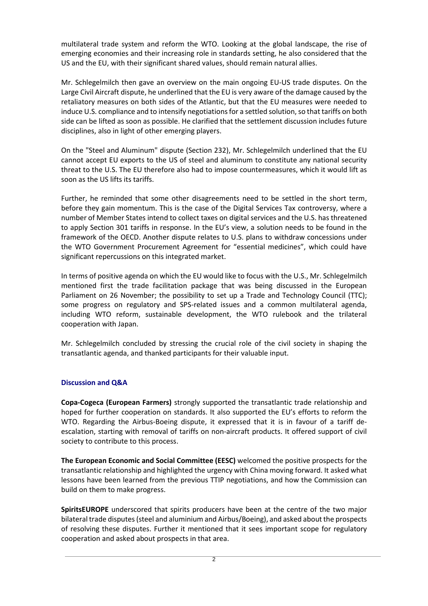multilateral trade system and reform the WTO. Looking at the global landscape, the rise of emerging economies and their increasing role in standards setting, he also considered that the US and the EU, with their significant shared values, should remain natural allies.

Mr. Schlegelmilch then gave an overview on the main ongoing EU-US trade disputes. On the Large Civil Aircraft dispute, he underlined that the EU is very aware of the damage caused by the retaliatory measures on both sides of the Atlantic, but that the EU measures were needed to induce U.S. compliance and to intensify negotiations for a settled solution, so that tariffs on both side can be lifted as soon as possible. He clarified that the settlement discussion includes future disciplines, also in light of other emerging players.

On the "Steel and Aluminum" dispute (Section 232), Mr. Schlegelmilch underlined that the EU cannot accept EU exports to the US of steel and aluminum to constitute any national security threat to the U.S. The EU therefore also had to impose countermeasures, which it would lift as soon as the US lifts its tariffs.

Further, he reminded that some other disagreements need to be settled in the short term, before they gain momentum. This is the case of the Digital Services Tax controversy, where a number of Member States intend to collect taxes on digital services and the U.S. has threatened to apply Section 301 tariffs in response. In the EU's view, a solution needs to be found in the framework of the OECD. Another dispute relates to U.S. plans to withdraw concessions under the WTO Government Procurement Agreement for "essential medicines", which could have significant repercussions on this integrated market.

In terms of positive agenda on which the EU would like to focus with the U.S., Mr. Schlegelmilch mentioned first the trade facilitation package that was being discussed in the European Parliament on 26 November; the possibility to set up a Trade and Technology Council (TTC); some progress on regulatory and SPS-related issues and a common multilateral agenda, including WTO reform, sustainable development, the WTO rulebook and the trilateral cooperation with Japan.

Mr. Schlegelmilch concluded by stressing the crucial role of the civil society in shaping the transatlantic agenda, and thanked participants for their valuable input.

## **Discussion and Q&A**

**Copa-Cogeca (European Farmers)** strongly supported the transatlantic trade relationship and hoped for further cooperation on standards. It also supported the EU's efforts to reform the WTO. Regarding the Airbus-Boeing dispute, it expressed that it is in favour of a tariff deescalation, starting with removal of tariffs on non-aircraft products. It offered support of civil society to contribute to this process.

**The European Economic and Social Committee (EESC)** welcomed the positive prospects for the transatlantic relationship and highlighted the urgency with China moving forward. It asked what lessons have been learned from the previous TTIP negotiations, and how the Commission can build on them to make progress.

**SpiritsEUROPE** underscored that spirits producers have been at the centre of the two major bilateral trade disputes(steel and aluminium and Airbus/Boeing), and asked about the prospects of resolving these disputes. Further it mentioned that it sees important scope for regulatory cooperation and asked about prospects in that area.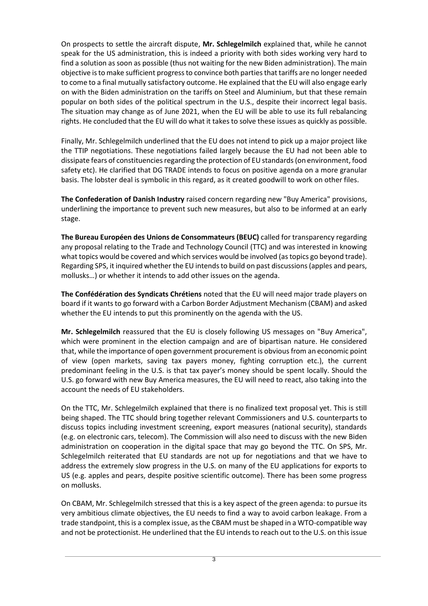On prospects to settle the aircraft dispute, **Mr. Schlegelmilch** explained that, while he cannot speak for the US administration, this is indeed a priority with both sides working very hard to find a solution as soon as possible (thus not waiting for the new Biden administration). The main objective is to make sufficient progress to convince both parties that tariffs are no longer needed to come to a final mutually satisfactory outcome. He explained that the EU will also engage early on with the Biden administration on the tariffs on Steel and Aluminium, but that these remain popular on both sides of the political spectrum in the U.S., despite their incorrect legal basis. The situation may change as of June 2021, when the EU will be able to use its full rebalancing rights. He concluded that the EU will do what it takes to solve these issues as quickly as possible.

Finally, Mr. Schlegelmilch underlined that the EU does not intend to pick up a major project like the TTIP negotiations. These negotiations failed largely because the EU had not been able to dissipate fears of constituencies regarding the protection of EU standards (on environment, food safety etc). He clarified that DG TRADE intends to focus on positive agenda on a more granular basis. The lobster deal is symbolic in this regard, as it created goodwill to work on other files.

**The Confederation of Danish Industry** raised concern regarding new "Buy America" provisions, underlining the importance to prevent such new measures, but also to be informed at an early stage.

**The Bureau Européen des Unions de Consommateurs (BEUC)** called for transparency regarding any proposal relating to the Trade and Technology Council (TTC) and was interested in knowing what topics would be covered and which services would be involved (as topics go beyond trade). Regarding SPS, it inquired whether the EU intends to build on past discussions (apples and pears, mollusks…) or whether it intends to add other issues on the agenda.

**The Confédération des Syndicats Chrétiens** noted that the EU will need major trade players on board if it wants to go forward with a Carbon Border Adjustment Mechanism (CBAM) and asked whether the EU intends to put this prominently on the agenda with the US.

**Mr. Schlegelmilch** reassured that the EU is closely following US messages on "Buy America", which were prominent in the election campaign and are of bipartisan nature. He considered that, while the importance of open government procurement is obviousfrom an economic point of view (open markets, saving tax payers money, fighting corruption etc.), the current predominant feeling in the U.S. is that tax payer's money should be spent locally. Should the U.S. go forward with new Buy America measures, the EU will need to react, also taking into the account the needs of EU stakeholders.

On the TTC, Mr. Schlegelmilch explained that there is no finalized text proposal yet. This is still being shaped. The TTC should bring together relevant Commissioners and U.S. counterparts to discuss topics including investment screening, export measures (national security), standards (e.g. on electronic cars, telecom). The Commission will also need to discuss with the new Biden administration on cooperation in the digital space that may go beyond the TTC. On SPS, Mr. Schlegelmilch reiterated that EU standards are not up for negotiations and that we have to address the extremely slow progress in the U.S. on many of the EU applications for exports to US (e.g. apples and pears, despite positive scientific outcome). There has been some progress on mollusks.

On CBAM, Mr. Schlegelmilch stressed that this is a key aspect of the green agenda: to pursue its very ambitious climate objectives, the EU needs to find a way to avoid carbon leakage. From a trade standpoint, this is a complex issue, as the CBAM must be shaped in a WTO-compatible way and not be protectionist. He underlined that the EU intends to reach out to the U.S. on this issue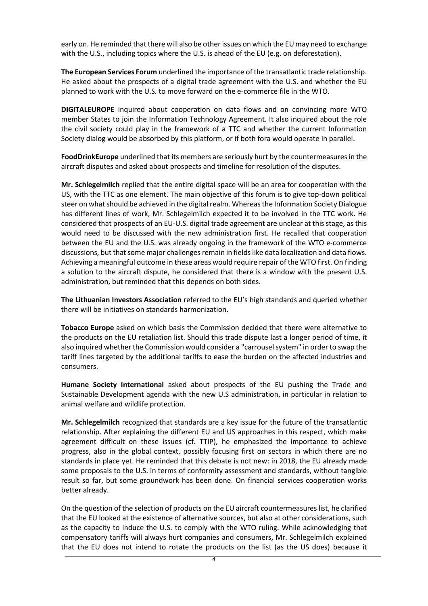early on. He reminded that there will also be other issues on which the EU may need to exchange with the U.S., including topics where the U.S. is ahead of the EU (e.g. on deforestation).

**The European Services Forum** underlined the importance of the transatlantic trade relationship. He asked about the prospects of a digital trade agreement with the U.S. and whether the EU planned to work with the U.S. to move forward on the e-commerce file in the WTO.

**DIGITALEUROPE** inquired about cooperation on data flows and on convincing more WTO member States to join the Information Technology Agreement. It also inquired about the role the civil society could play in the framework of a TTC and whether the current Information Society dialog would be absorbed by this platform, or if both fora would operate in parallel.

**FoodDrinkEurope** underlined that its members are seriously hurt by the countermeasures in the aircraft disputes and asked about prospects and timeline for resolution of the disputes.

**Mr. Schlegelmilch** replied that the entire digital space will be an area for cooperation with the US, with the TTC as one element. The main objective of this forum is to give top-down political steer on what should be achieved in the digital realm. Whereasthe Information Society Dialogue has different lines of work, Mr. Schlegelmilch expected it to be involved in the TTC work. He considered that prospects of an EU-U.S. digital trade agreement are unclear at this stage, as this would need to be discussed with the new administration first. He recalled that cooperation between the EU and the U.S. was already ongoing in the framework of the WTO e-commerce discussions, but that some major challenges remain in fields like data localization and data flows. Achieving a meaningful outcome in these areas would require repair of the WTO first. On finding a solution to the aircraft dispute, he considered that there is a window with the present U.S. administration, but reminded that this depends on both sides.

**The Lithuanian Investors Association** referred to the EU's high standards and queried whether there will be initiatives on standards harmonization.

**Tobacco Europe** asked on which basis the Commission decided that there were alternative to the products on the EU retaliation list. Should this trade dispute last a longer period of time, it also inquired whether the Commission would consider a "carrousel system" in order to swap the tariff lines targeted by the additional tariffs to ease the burden on the affected industries and consumers.

**Humane Society International** asked about prospects of the EU pushing the Trade and Sustainable Development agenda with the new U.S administration, in particular in relation to animal welfare and wildlife protection.

**Mr. Schlegelmilch** recognized that standards are a key issue for the future of the transatlantic relationship. After explaining the different EU and US approaches in this respect, which make agreement difficult on these issues (cf. TTIP), he emphasized the importance to achieve progress, also in the global context, possibly focusing first on sectors in which there are no standards in place yet. He reminded that this debate is not new: in 2018, the EU already made some proposals to the U.S. in terms of conformity assessment and standards, without tangible result so far, but some groundwork has been done. On financial services cooperation works better already.

On the question of the selection of products on the EU aircraft countermeasures list, he clarified that the EU looked at the existence of alternative sources, but also at other considerations, such as the capacity to induce the U.S. to comply with the WTO ruling. While acknowledging that compensatory tariffs will always hurt companies and consumers, Mr. Schlegelmilch explained that the EU does not intend to rotate the products on the list (as the US does) because it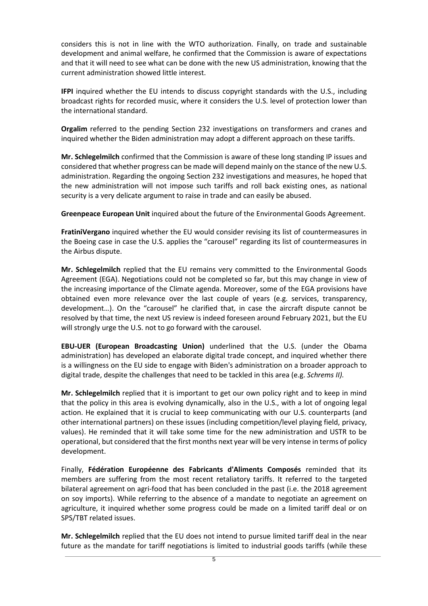considers this is not in line with the WTO authorization. Finally, on trade and sustainable development and animal welfare, he confirmed that the Commission is aware of expectations and that it will need to see what can be done with the new US administration, knowing that the current administration showed little interest.

**IFPI** inquired whether the EU intends to discuss copyright standards with the U.S., including broadcast rights for recorded music, where it considers the U.S. level of protection lower than the international standard.

**Orgalim** referred to the pending Section 232 investigations on transformers and cranes and inquired whether the Biden administration may adopt a different approach on these tariffs.

**Mr. Schlegelmilch** confirmed that the Commission is aware of these long standing IP issues and considered that whether progress can be made will depend mainly on the stance of the new U.S. administration. Regarding the ongoing Section 232 investigations and measures, he hoped that the new administration will not impose such tariffs and roll back existing ones, as national security is a very delicate argument to raise in trade and can easily be abused.

**Greenpeace European Unit** inquired about the future of the Environmental Goods Agreement.

**FratiniVergano** inquired whether the EU would consider revising its list of countermeasures in the Boeing case in case the U.S. applies the "carousel" regarding its list of countermeasures in the Airbus dispute.

**Mr. Schlegelmilch** replied that the EU remains very committed to the Environmental Goods Agreement (EGA). Negotiations could not be completed so far, but this may change in view of the increasing importance of the Climate agenda. Moreover, some of the EGA provisions have obtained even more relevance over the last couple of years (e.g. services, transparency, development…). On the "carousel" he clarified that, in case the aircraft dispute cannot be resolved by that time, the next US review is indeed foreseen around February 2021, but the EU will strongly urge the U.S. not to go forward with the carousel.

**EBU-UER (European Broadcasting Union)** underlined that the U.S. (under the Obama administration) has developed an elaborate digital trade concept, and inquired whether there is a willingness on the EU side to engage with Biden's administration on a broader approach to digital trade, despite the challenges that need to be tackled in this area (e.g. *Schrems II).*

**Mr. Schlegelmilch** replied that it is important to get our own policy right and to keep in mind that the policy in this area is evolving dynamically, also in the U.S., with a lot of ongoing legal action. He explained that it is crucial to keep communicating with our U.S. counterparts (and other international partners) on these issues (including competition/level playing field, privacy, values). He reminded that it will take some time for the new administration and USTR to be operational, but considered that the first months next year will be very intense in terms of policy development.

Finally, **Fédération Européenne des Fabricants d'Aliments Composés** reminded that its members are suffering from the most recent retaliatory tariffs. It referred to the targeted bilateral agreement on agri-food that has been concluded in the past (i.e. the 2018 agreement on soy imports). While referring to the absence of a mandate to negotiate an agreement on agriculture, it inquired whether some progress could be made on a limited tariff deal or on SPS/TBT related issues.

**Mr. Schlegelmilch** replied that the EU does not intend to pursue limited tariff deal in the near future as the mandate for tariff negotiations is limited to industrial goods tariffs (while these